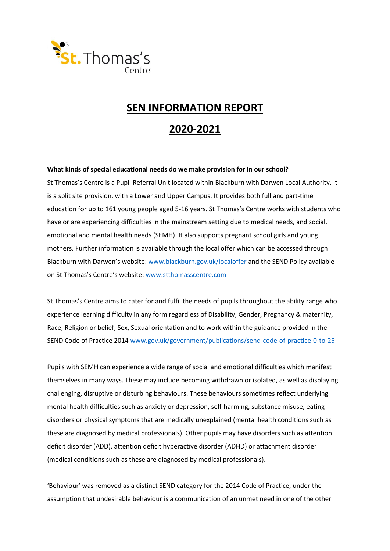

# **SEN INFORMATION REPORT**

# **2020-2021**

#### **What kinds of special educational needs do we make provision for in our school?**

St Thomas's Centre is a Pupil Referral Unit located within Blackburn with Darwen Local Authority. It is a split site provision, with a Lower and Upper Campus. It provides both full and part-time education for up to 161 young people aged 5-16 years. St Thomas's Centre works with students who have or are experiencing difficulties in the mainstream setting due to medical needs, and social, emotional and mental health needs (SEMH). It also supports pregnant school girls and young mothers. Further information is available through the local offer which can be accessed through Blackburn with Darwen's website[: www.blackburn.gov.uk/localoffer](http://www.blackburn.gov.uk/localoffer) and the SEND Policy available on St Thomas's Centre's website: [www.stthomasscentre.com](http://www.stthomasscentre.com/)

St Thomas's Centre aims to cater for and fulfil the needs of pupils throughout the ability range who experience learning difficulty in any form regardless of Disability, Gender, Pregnancy & maternity, Race, Religion or belief, Sex, Sexual orientation and to work within the guidance provided in the SEND Code of Practice 2014 [www.gov.uk/government/publications/send-code-of-practice-0-to-25](http://www.gov.uk/government/publications/send-code-of-practice-0-to-25)

Pupils with SEMH can experience a wide range of social and emotional difficulties which manifest themselves in many ways. These may include becoming withdrawn or isolated, as well as displaying challenging, disruptive or disturbing behaviours. These behaviours sometimes reflect underlying mental health difficulties such as anxiety or depression, self-harming, substance misuse, eating disorders or physical symptoms that are medically unexplained (mental health conditions such as these are diagnosed by medical professionals). Other pupils may have disorders such as attention deficit disorder (ADD), attention deficit hyperactive disorder (ADHD) or attachment disorder (medical conditions such as these are diagnosed by medical professionals).

'Behaviour' was removed as a distinct SEND category for the 2014 Code of Practice, under the assumption that undesirable behaviour is a communication of an unmet need in one of the other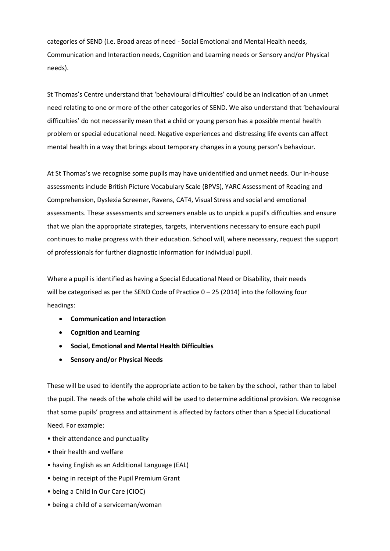categories of SEND (i.e. Broad areas of need - Social Emotional and Mental Health needs, Communication and Interaction needs, Cognition and Learning needs or Sensory and/or Physical needs).

St Thomas's Centre understand that 'behavioural difficulties' could be an indication of an unmet need relating to one or more of the other categories of SEND. We also understand that 'behavioural difficulties' do not necessarily mean that a child or young person has a possible mental health problem or special educational need. Negative experiences and distressing life events can affect mental health in a way that brings about temporary changes in a young person's behaviour.

At St Thomas's we recognise some pupils may have unidentified and unmet needs. Our in-house assessments include British Picture Vocabulary Scale (BPVS), YARC Assessment of Reading and Comprehension, Dyslexia Screener, Ravens, CAT4, Visual Stress and social and emotional assessments. These assessments and screeners enable us to unpick a pupil's difficulties and ensure that we plan the appropriate strategies, targets, interventions necessary to ensure each pupil continues to make progress with their education. School will, where necessary, request the support of professionals for further diagnostic information for individual pupil.

Where a pupil is identified as having a Special Educational Need or Disability, their needs will be categorised as per the SEND Code of Practice 0 – 25 (2014) into the following four headings:

- **Communication and Interaction**
- **Cognition and Learning**
- **Social, Emotional and Mental Health Difficulties**
- **Sensory and/or Physical Needs**

These will be used to identify the appropriate action to be taken by the school, rather than to label the pupil. The needs of the whole child will be used to determine additional provision. We recognise that some pupils' progress and attainment is affected by factors other than a Special Educational Need. For example:

- their attendance and punctuality
- their health and welfare
- having English as an Additional Language (EAL)
- being in receipt of the Pupil Premium Grant
- being a Child In Our Care (CIOC)
- being a child of a serviceman/woman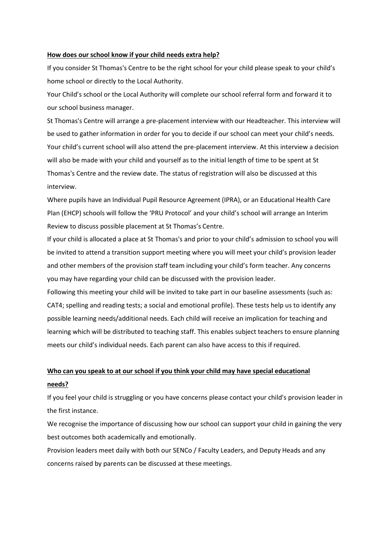#### **How does our school know if your child needs extra help?**

If you consider St Thomas's Centre to be the right school for your child please speak to your child's home school or directly to the Local Authority.

Your Child's school or the Local Authority will complete our school referral form and forward it to our school business manager.

St Thomas's Centre will arrange a pre-placement interview with our Headteacher. This interview will be used to gather information in order for you to decide if our school can meet your child's needs. Your child's current school will also attend the pre-placement interview. At this interview a decision will also be made with your child and yourself as to the initial length of time to be spent at St Thomas's Centre and the review date. The status of registration will also be discussed at this interview.

Where pupils have an Individual Pupil Resource Agreement (IPRA), or an Educational Health Care Plan (EHCP) schools will follow the 'PRU Protocol' and your child's school will arrange an Interim Review to discuss possible placement at St Thomas's Centre.

If your child is allocated a place at St Thomas's and prior to your child's admission to school you will be invited to attend a transition support meeting where you will meet your child's provision leader and other members of the provision staff team including your child's form teacher. Any concerns you may have regarding your child can be discussed with the provision leader.

Following this meeting your child will be invited to take part in our baseline assessments (such as: CAT4; spelling and reading tests; a social and emotional profile). These tests help us to identify any possible learning needs/additional needs. Each child will receive an implication for teaching and learning which will be distributed to teaching staff. This enables subject teachers to ensure planning meets our child's individual needs. Each parent can also have access to this if required.

## **Who can you speak to at our school if you think your child may have special educational needs?**

If you feel your child is struggling or you have concerns please contact your child's provision leader in the first instance.

We recognise the importance of discussing how our school can support your child in gaining the very best outcomes both academically and emotionally.

Provision leaders meet daily with both our SENCo / Faculty Leaders, and Deputy Heads and any concerns raised by parents can be discussed at these meetings.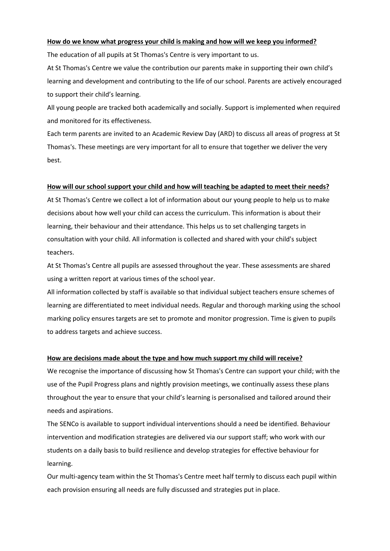#### **How do we know what progress your child is making and how will we keep you informed?**

The education of all pupils at St Thomas's Centre is very important to us.

At St Thomas's Centre we value the contribution our parents make in supporting their own child's learning and development and contributing to the life of our school. Parents are actively encouraged to support their child's learning.

All young people are tracked both academically and socially. Support is implemented when required and monitored for its effectiveness.

Each term parents are invited to an Academic Review Day (ARD) to discuss all areas of progress at St Thomas's. These meetings are very important for all to ensure that together we deliver the very best.

#### **How will our school support your child and how will teaching be adapted to meet their needs?**

At St Thomas's Centre we collect a lot of information about our young people to help us to make decisions about how well your child can access the curriculum. This information is about their learning, their behaviour and their attendance. This helps us to set challenging targets in consultation with your child. All information is collected and shared with your child's subject teachers.

At St Thomas's Centre all pupils are assessed throughout the year. These assessments are shared using a written report at various times of the school year.

All information collected by staff is available so that individual subject teachers ensure schemes of learning are differentiated to meet individual needs. Regular and thorough marking using the school marking policy ensures targets are set to promote and monitor progression. Time is given to pupils to address targets and achieve success.

#### **How are decisions made about the type and how much support my child will receive?**

We recognise the importance of discussing how St Thomas's Centre can support your child; with the use of the Pupil Progress plans and nightly provision meetings, we continually assess these plans throughout the year to ensure that your child's learning is personalised and tailored around their needs and aspirations.

The SENCo is available to support individual interventions should a need be identified. Behaviour intervention and modification strategies are delivered via our support staff; who work with our students on a daily basis to build resilience and develop strategies for effective behaviour for learning.

Our multi-agency team within the St Thomas's Centre meet half termly to discuss each pupil within each provision ensuring all needs are fully discussed and strategies put in place.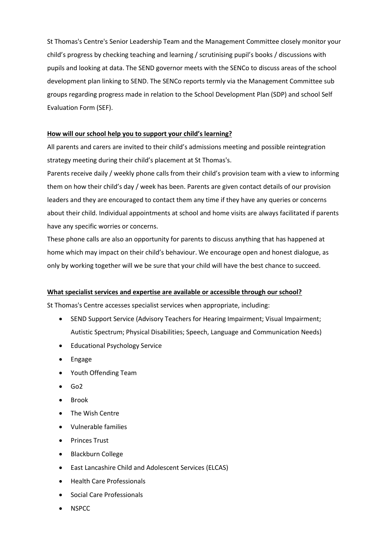St Thomas's Centre's Senior Leadership Team and the Management Committee closely monitor your child's progress by checking teaching and learning / scrutinising pupil's books / discussions with pupils and looking at data. The SEND governor meets with the SENCo to discuss areas of the school development plan linking to SEND. The SENCo reports termly via the Management Committee sub groups regarding progress made in relation to the School Development Plan (SDP) and school Self Evaluation Form (SEF).

#### **How will our school help you to support your child's learning?**

All parents and carers are invited to their child's admissions meeting and possible reintegration strategy meeting during their child's placement at St Thomas's.

Parents receive daily / weekly phone calls from their child's provision team with a view to informing them on how their child's day / week has been. Parents are given contact details of our provision leaders and they are encouraged to contact them any time if they have any queries or concerns about their child. Individual appointments at school and home visits are always facilitated if parents have any specific worries or concerns.

These phone calls are also an opportunity for parents to discuss anything that has happened at home which may impact on their child's behaviour. We encourage open and honest dialogue, as only by working together will we be sure that your child will have the best chance to succeed.

#### **What specialist services and expertise are available or accessible through our school?**

St Thomas's Centre accesses specialist services when appropriate, including:

- SEND Support Service (Advisory Teachers for Hearing Impairment; Visual Impairment; Autistic Spectrum; Physical Disabilities; Speech, Language and Communication Needs)
- Educational Psychology Service
- Engage
- Youth Offending Team
- Go2
- Brook
- The Wish Centre
- Vulnerable families
- Princes Trust
- Blackburn College
- East Lancashire Child and Adolescent Services (ELCAS)
- Health Care Professionals
- Social Care Professionals
- NSPCC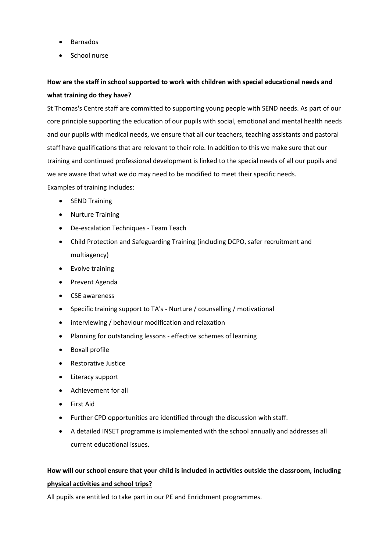- Barnados
- School nurse

## **How are the staff in school supported to work with children with special educational needs and what training do they have?**

St Thomas's Centre staff are committed to supporting young people with SEND needs. As part of our core principle supporting the education of our pupils with social, emotional and mental health needs and our pupils with medical needs, we ensure that all our teachers, teaching assistants and pastoral staff have qualifications that are relevant to their role. In addition to this we make sure that our training and continued professional development is linked to the special needs of all our pupils and we are aware that what we do may need to be modified to meet their specific needs.

Examples of training includes:

- SEND Training
- Nurture Training
- De-escalation Techniques Team Teach
- Child Protection and Safeguarding Training (including DCPO, safer recruitment and multiagency)
- Evolve training
- Prevent Agenda
- CSE awareness
- Specific training support to TA's Nurture / counselling / motivational
- interviewing / behaviour modification and relaxation
- Planning for outstanding lessons effective schemes of learning
- Boxall profile
- Restorative Justice
- Literacy support
- Achievement for all
- First Aid
- Further CPD opportunities are identified through the discussion with staff.
- A detailed INSET programme is implemented with the school annually and addresses all current educational issues.

# **How will our school ensure that your child is included in activities outside the classroom, including**

### **physical activities and school trips?**

All pupils are entitled to take part in our PE and Enrichment programmes.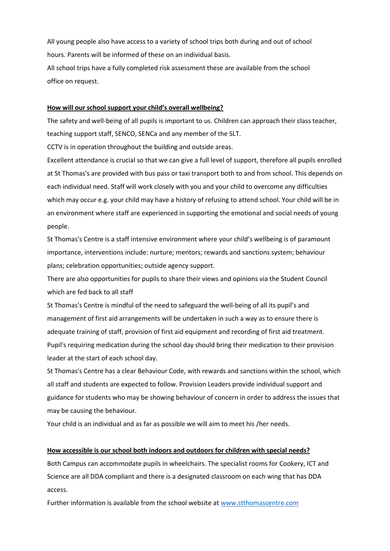All young people also have access to a variety of school trips both during and out of school hours. Parents will be informed of these on an individual basis.

All school trips have a fully completed risk assessment these are available from the school office on request.

#### **How will our school support your child's overall wellbeing?**

The safety and well-being of all pupils is important to us. Children can approach their class teacher, teaching support staff, SENCO, SENCa and any member of the SLT.

CCTV is in operation throughout the building and outside areas.

Excellent attendance is crucial so that we can give a full level of support, therefore all pupils enrolled at St Thomas's are provided with bus pass or taxi transport both to and from school. This depends on each individual need. Staff will work closely with you and your child to overcome any difficulties which may occur e.g. your child may have a history of refusing to attend school. Your child will be in an environment where staff are experienced in supporting the emotional and social needs of young people.

St Thomas's Centre is a staff intensive environment where your child's wellbeing is of paramount importance, interventions include: nurture; mentors; rewards and sanctions system; behaviour plans; celebration opportunities; outside agency support.

There are also opportunities for pupils to share their views and opinions via the Student Council which are fed back to all staff

St Thomas's Centre is mindful of the need to safeguard the well-being of all its pupil's and management of first aid arrangements will be undertaken in such a way as to ensure there is adequate training of staff, provision of first aid equipment and recording of first aid treatment. Pupil's requiring medication during the school day should bring their medication to their provision leader at the start of each school day.

St Thomas's Centre has a clear Behaviour Code, with rewards and sanctions within the school, which all staff and students are expected to follow. Provision Leaders provide individual support and guidance for students who may be showing behaviour of concern in order to address the issues that may be causing the behaviour.

Your child is an individual and as far as possible we will aim to meet his /her needs.

#### **How accessible is our school both indoors and outdoors for children with special needs?**

Both Campus can accommodate pupils in wheelchairs. The specialist rooms for Cookery, ICT and Science are all DDA compliant and there is a designated classroom on each wing that has DDA access.

Further information is available from the school website at [www.stthomascentre.com](http://www.stthomascentre.com/)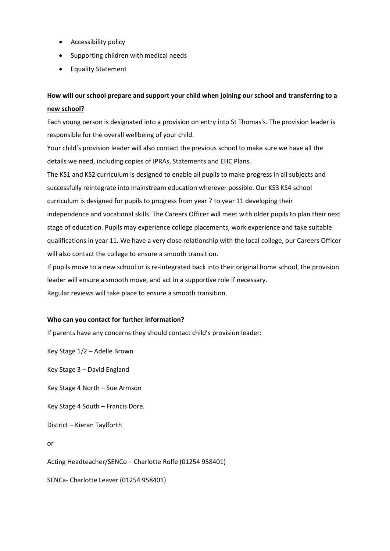- Accessibility policy
- Supporting children with medical needs
- Equality Statement

## **How will our school prepare and support your child when joining our school and transferring to a new school?**

Each young person is designated into a provision on entry into St Thomas's. The provision leader is responsible for the overall wellbeing of your child.

Your child's provision leader will also contact the previous school to make sure we have all the details we need, including copies of IPRAs, Statements and EHC Plans.

The KS1 and KS2 curriculum is designed to enable all pupils to make progress in all subjects and successfully reintegrate into mainstream education wherever possible. Our KS3 KS4 school curriculum is designed for pupils to progress from year 7 to year 11 developing their independence and vocational skills. The Careers Officer will meet with older pupils to plan their next stage of education. Pupils may experience college placements, work experience and take suitable qualifications in year 11. We have a very close relationship with the local college, our Careers Officer will also contact the college to ensure a smooth transition.

If pupils move to a new school or is re-integrated back into their original home school, the provision leader will ensure a smooth move, and act in a supportive role if necessary. Regular reviews will take place to ensure a smooth transition.

#### **Who can you contact for further information?**

If parents have any concerns they should contact child's provision leader:

Key Stage 1/2 – Adelle Brown

Key Stage 3 – David England

Key Stage 4 North – Sue Armson

Key Stage 4 South – Francis Dore.

District – Kieran Taylforth

or

Acting Headteacher/SENCo – Charlotte Rolfe (01254 958401)

SENCa- Charlotte Leaver (01254 958401)